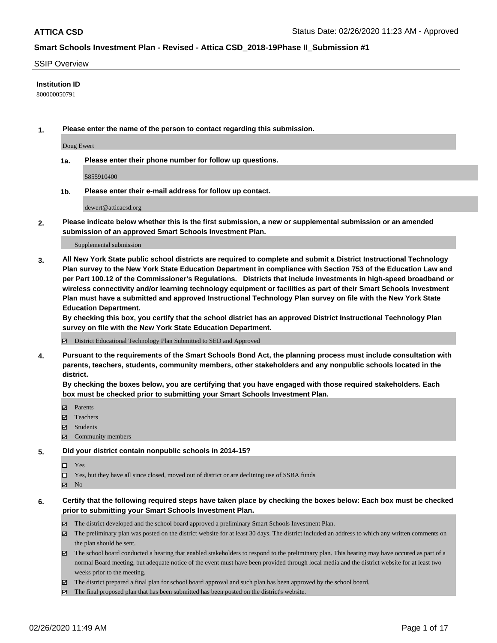### SSIP Overview

### **Institution ID**

800000050791

**1. Please enter the name of the person to contact regarding this submission.**

Doug Ewert

**1a. Please enter their phone number for follow up questions.**

5855910400

**1b. Please enter their e-mail address for follow up contact.**

dewert@atticacsd.org

**2. Please indicate below whether this is the first submission, a new or supplemental submission or an amended submission of an approved Smart Schools Investment Plan.**

#### Supplemental submission

**3. All New York State public school districts are required to complete and submit a District Instructional Technology Plan survey to the New York State Education Department in compliance with Section 753 of the Education Law and per Part 100.12 of the Commissioner's Regulations. Districts that include investments in high-speed broadband or wireless connectivity and/or learning technology equipment or facilities as part of their Smart Schools Investment Plan must have a submitted and approved Instructional Technology Plan survey on file with the New York State Education Department.** 

**By checking this box, you certify that the school district has an approved District Instructional Technology Plan survey on file with the New York State Education Department.**

District Educational Technology Plan Submitted to SED and Approved

**4. Pursuant to the requirements of the Smart Schools Bond Act, the planning process must include consultation with parents, teachers, students, community members, other stakeholders and any nonpublic schools located in the district.** 

**By checking the boxes below, you are certifying that you have engaged with those required stakeholders. Each box must be checked prior to submitting your Smart Schools Investment Plan.**

- **マ** Parents
- Teachers
- Students
- Community members

### **5. Did your district contain nonpublic schools in 2014-15?**

 $\neg$  Yes

Yes, but they have all since closed, moved out of district or are declining use of SSBA funds

**Z** No

### **6. Certify that the following required steps have taken place by checking the boxes below: Each box must be checked prior to submitting your Smart Schools Investment Plan.**

- The district developed and the school board approved a preliminary Smart Schools Investment Plan.
- $\boxtimes$  The preliminary plan was posted on the district website for at least 30 days. The district included an address to which any written comments on the plan should be sent.
- The school board conducted a hearing that enabled stakeholders to respond to the preliminary plan. This hearing may have occured as part of a normal Board meeting, but adequate notice of the event must have been provided through local media and the district website for at least two weeks prior to the meeting.
- The district prepared a final plan for school board approval and such plan has been approved by the school board.
- The final proposed plan that has been submitted has been posted on the district's website.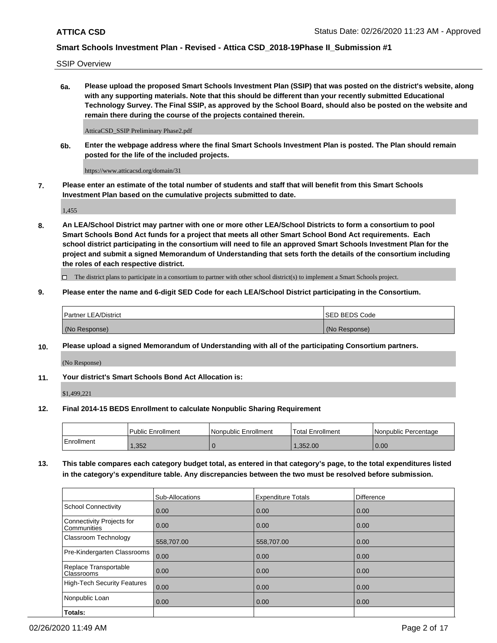SSIP Overview

**6a. Please upload the proposed Smart Schools Investment Plan (SSIP) that was posted on the district's website, along with any supporting materials. Note that this should be different than your recently submitted Educational Technology Survey. The Final SSIP, as approved by the School Board, should also be posted on the website and remain there during the course of the projects contained therein.**

AtticaCSD\_SSIP Preliminary Phase2.pdf

**6b. Enter the webpage address where the final Smart Schools Investment Plan is posted. The Plan should remain posted for the life of the included projects.**

https://www.atticacsd.org/domain/31

**7. Please enter an estimate of the total number of students and staff that will benefit from this Smart Schools Investment Plan based on the cumulative projects submitted to date.**

1,455

**8. An LEA/School District may partner with one or more other LEA/School Districts to form a consortium to pool Smart Schools Bond Act funds for a project that meets all other Smart School Bond Act requirements. Each school district participating in the consortium will need to file an approved Smart Schools Investment Plan for the project and submit a signed Memorandum of Understanding that sets forth the details of the consortium including the roles of each respective district.**

 $\Box$  The district plans to participate in a consortium to partner with other school district(s) to implement a Smart Schools project.

### **9. Please enter the name and 6-digit SED Code for each LEA/School District participating in the Consortium.**

| Partner LEA/District | ISED BEDS Code |
|----------------------|----------------|
| (No Response)        | (No Response)  |

### **10. Please upload a signed Memorandum of Understanding with all of the participating Consortium partners.**

(No Response)

### **11. Your district's Smart Schools Bond Act Allocation is:**

\$1,499,221

#### **12. Final 2014-15 BEDS Enrollment to calculate Nonpublic Sharing Requirement**

|            | Public Enrollment | Nonpublic Enrollment | Total Enrollment | I Nonpublic Percentage |
|------------|-------------------|----------------------|------------------|------------------------|
| Enrollment | .352              |                      | .352.00          | 0.00                   |

**13. This table compares each category budget total, as entered in that category's page, to the total expenditures listed in the category's expenditure table. Any discrepancies between the two must be resolved before submission.**

|                                          | Sub-Allocations | <b>Expenditure Totals</b> | <b>Difference</b> |
|------------------------------------------|-----------------|---------------------------|-------------------|
| <b>School Connectivity</b>               | 0.00            | 0.00                      | 0.00              |
| Connectivity Projects for<br>Communities | 0.00            | 0.00                      | 0.00              |
| Classroom Technology                     | 558,707.00      | 558,707.00                | 0.00              |
| Pre-Kindergarten Classrooms              | 0.00            | 0.00                      | 0.00              |
| Replace Transportable<br>Classrooms      | 0.00            | 0.00                      | 0.00              |
| High-Tech Security Features              | 0.00            | 0.00                      | 0.00              |
| Nonpublic Loan                           | 0.00            | 0.00                      | 0.00              |
| Totals:                                  |                 |                           |                   |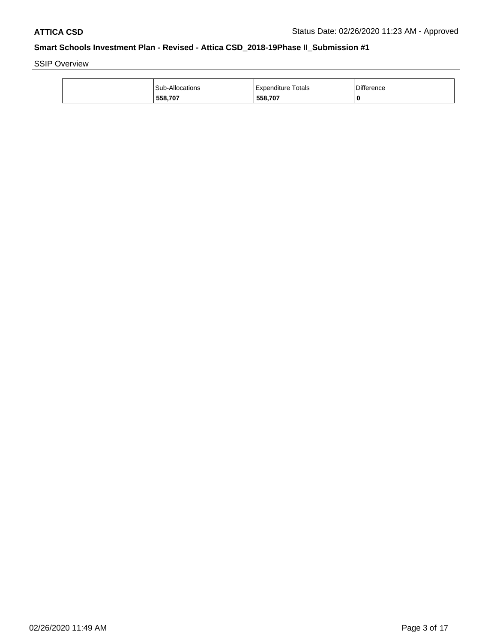SSIP Overview

| Sub-Allocations | <b>Expenditure Totals</b> | <b>Difference</b> |
|-----------------|---------------------------|-------------------|
| 558,707         | 558,707                   |                   |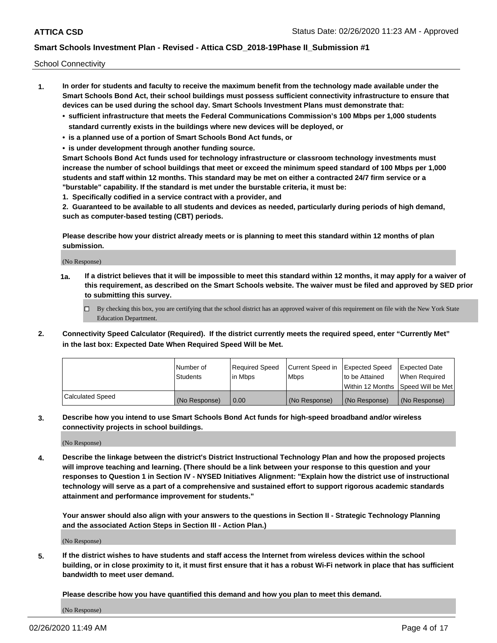School Connectivity

- **1. In order for students and faculty to receive the maximum benefit from the technology made available under the Smart Schools Bond Act, their school buildings must possess sufficient connectivity infrastructure to ensure that devices can be used during the school day. Smart Schools Investment Plans must demonstrate that:**
	- **• sufficient infrastructure that meets the Federal Communications Commission's 100 Mbps per 1,000 students standard currently exists in the buildings where new devices will be deployed, or**
	- **• is a planned use of a portion of Smart Schools Bond Act funds, or**
	- **• is under development through another funding source.**

**Smart Schools Bond Act funds used for technology infrastructure or classroom technology investments must increase the number of school buildings that meet or exceed the minimum speed standard of 100 Mbps per 1,000 students and staff within 12 months. This standard may be met on either a contracted 24/7 firm service or a "burstable" capability. If the standard is met under the burstable criteria, it must be:**

**1. Specifically codified in a service contract with a provider, and**

**2. Guaranteed to be available to all students and devices as needed, particularly during periods of high demand, such as computer-based testing (CBT) periods.**

**Please describe how your district already meets or is planning to meet this standard within 12 months of plan submission.**

(No Response)

**1a. If a district believes that it will be impossible to meet this standard within 12 months, it may apply for a waiver of this requirement, as described on the Smart Schools website. The waiver must be filed and approved by SED prior to submitting this survey.**

 $\Box$  By checking this box, you are certifying that the school district has an approved waiver of this requirement on file with the New York State Education Department.

**2. Connectivity Speed Calculator (Required). If the district currently meets the required speed, enter "Currently Met" in the last box: Expected Date When Required Speed Will be Met.**

|                  | l Number of   | Required Speed | Current Speed in | Expected Speed  | Expected Date                           |
|------------------|---------------|----------------|------------------|-----------------|-----------------------------------------|
|                  | Students      | In Mbps        | l Mbps           | to be Attained  | When Required                           |
|                  |               |                |                  |                 | l Within 12 Months ISpeed Will be Met l |
| Calculated Speed | (No Response) | 0.00           | (No Response)    | l (No Response) | l (No Response)                         |

**3. Describe how you intend to use Smart Schools Bond Act funds for high-speed broadband and/or wireless connectivity projects in school buildings.**

(No Response)

**4. Describe the linkage between the district's District Instructional Technology Plan and how the proposed projects will improve teaching and learning. (There should be a link between your response to this question and your responses to Question 1 in Section IV - NYSED Initiatives Alignment: "Explain how the district use of instructional technology will serve as a part of a comprehensive and sustained effort to support rigorous academic standards attainment and performance improvement for students."** 

**Your answer should also align with your answers to the questions in Section II - Strategic Technology Planning and the associated Action Steps in Section III - Action Plan.)**

(No Response)

**5. If the district wishes to have students and staff access the Internet from wireless devices within the school building, or in close proximity to it, it must first ensure that it has a robust Wi-Fi network in place that has sufficient bandwidth to meet user demand.**

**Please describe how you have quantified this demand and how you plan to meet this demand.**

(No Response)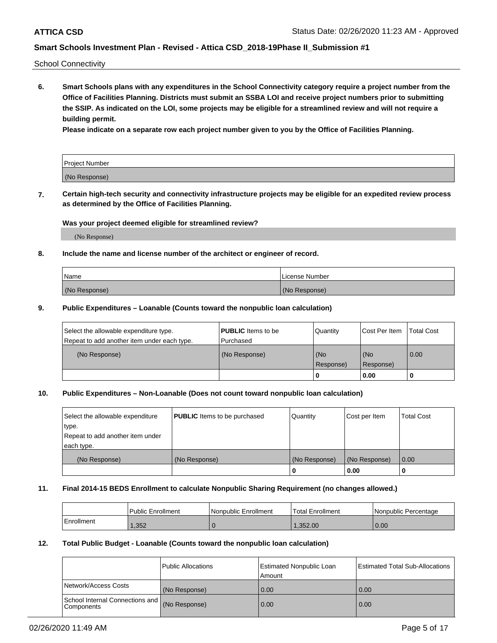School Connectivity

**6. Smart Schools plans with any expenditures in the School Connectivity category require a project number from the Office of Facilities Planning. Districts must submit an SSBA LOI and receive project numbers prior to submitting the SSIP. As indicated on the LOI, some projects may be eligible for a streamlined review and will not require a building permit.**

**Please indicate on a separate row each project number given to you by the Office of Facilities Planning.**

| Project Number |  |
|----------------|--|
| (No Response)  |  |

**7. Certain high-tech security and connectivity infrastructure projects may be eligible for an expedited review process as determined by the Office of Facilities Planning.**

#### **Was your project deemed eligible for streamlined review?**

(No Response)

### **8. Include the name and license number of the architect or engineer of record.**

| Name          | License Number |
|---------------|----------------|
| (No Response) | (No Response)  |

#### **9. Public Expenditures – Loanable (Counts toward the nonpublic loan calculation)**

| Select the allowable expenditure type.<br>Repeat to add another item under each type. | <b>PUBLIC</b> Items to be<br>l Purchased | Quantity         | l Cost Per Item  | <b>Total Cost</b> |
|---------------------------------------------------------------------------------------|------------------------------------------|------------------|------------------|-------------------|
| (No Response)                                                                         | (No Response)                            | (No<br>Response) | (No<br>Response) | 0.00              |
|                                                                                       |                                          | 0                | 0.00             |                   |

### **10. Public Expenditures – Non-Loanable (Does not count toward nonpublic loan calculation)**

| Select the allowable expenditure<br>type.<br>Repeat to add another item under<br>each type. | <b>PUBLIC</b> Items to be purchased | Quantity      | Cost per Item | <b>Total Cost</b> |
|---------------------------------------------------------------------------------------------|-------------------------------------|---------------|---------------|-------------------|
| (No Response)                                                                               | (No Response)                       | (No Response) | (No Response) | 0.00              |
|                                                                                             |                                     |               | 0.00          |                   |

#### **11. Final 2014-15 BEDS Enrollment to calculate Nonpublic Sharing Requirement (no changes allowed.)**

|            | Public Enrollment | l Nonpublic Enrollment | <b>Total Enrollment</b> | Nonpublic Percentage |
|------------|-------------------|------------------------|-------------------------|----------------------|
| Enrollment | .352              |                        | .352.00                 | 0.00                 |

### **12. Total Public Budget - Loanable (Counts toward the nonpublic loan calculation)**

|                                               | Public Allocations | <b>Estimated Nonpublic Loan</b><br>Amount | Estimated Total Sub-Allocations |
|-----------------------------------------------|--------------------|-------------------------------------------|---------------------------------|
| Network/Access Costs                          | (No Response)      | 0.00                                      | 0.00                            |
| School Internal Connections and<br>Components | (No Response)      | 0.00                                      | 0.00                            |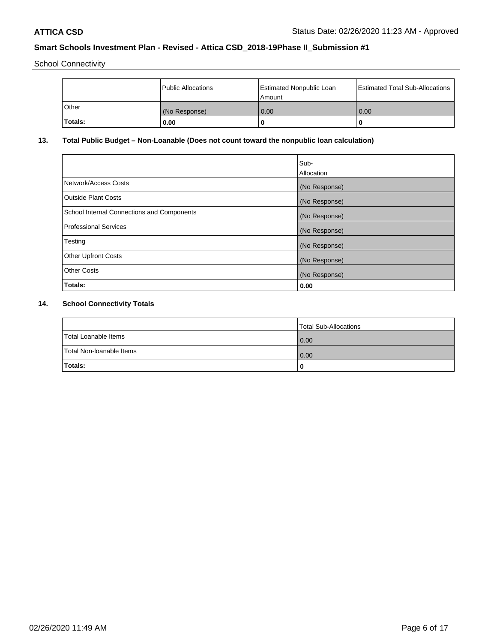School Connectivity

|              | Public Allocations | <b>Estimated Nonpublic Loan</b><br>Amount | <b>Estimated Total Sub-Allocations</b> |
|--------------|--------------------|-------------------------------------------|----------------------------------------|
| <b>Other</b> | (No Response)      | 0.00                                      | 0.00                                   |
| Totals:      | 0.00               |                                           | 0                                      |

# **13. Total Public Budget – Non-Loanable (Does not count toward the nonpublic loan calculation)**

| Sub-<br>Allocation |
|--------------------|
| (No Response)      |
| (No Response)      |
| (No Response)      |
| (No Response)      |
| (No Response)      |
| (No Response)      |
| (No Response)      |
| 0.00               |
|                    |

# **14. School Connectivity Totals**

|                          | Total Sub-Allocations |
|--------------------------|-----------------------|
| Total Loanable Items     | 0.00                  |
| Total Non-Ioanable Items | 0.00                  |
| Totals:                  | 0                     |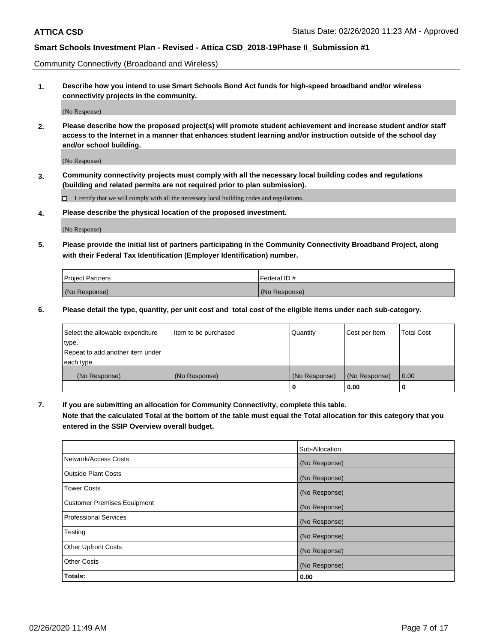Community Connectivity (Broadband and Wireless)

**1. Describe how you intend to use Smart Schools Bond Act funds for high-speed broadband and/or wireless connectivity projects in the community.**

(No Response)

**2. Please describe how the proposed project(s) will promote student achievement and increase student and/or staff access to the Internet in a manner that enhances student learning and/or instruction outside of the school day and/or school building.**

(No Response)

**3. Community connectivity projects must comply with all the necessary local building codes and regulations (building and related permits are not required prior to plan submission).**

 $\Box$  I certify that we will comply with all the necessary local building codes and regulations.

**4. Please describe the physical location of the proposed investment.**

(No Response)

**5. Please provide the initial list of partners participating in the Community Connectivity Broadband Project, along with their Federal Tax Identification (Employer Identification) number.**

| <b>Project Partners</b> | l Federal ID # |
|-------------------------|----------------|
| (No Response)           | (No Response)  |

**6. Please detail the type, quantity, per unit cost and total cost of the eligible items under each sub-category.**

| Select the allowable expenditure | Item to be purchased | Quantity      | Cost per Item | <b>Total Cost</b> |
|----------------------------------|----------------------|---------------|---------------|-------------------|
| type.                            |                      |               |               |                   |
| Repeat to add another item under |                      |               |               |                   |
| each type.                       |                      |               |               |                   |
| (No Response)                    | (No Response)        | (No Response) | (No Response) | 0.00              |
|                                  |                      | U             | 0.00          |                   |

**7. If you are submitting an allocation for Community Connectivity, complete this table.**

**Note that the calculated Total at the bottom of the table must equal the Total allocation for this category that you entered in the SSIP Overview overall budget.**

|                                    | Sub-Allocation |
|------------------------------------|----------------|
| Network/Access Costs               | (No Response)  |
| Outside Plant Costs                | (No Response)  |
| <b>Tower Costs</b>                 | (No Response)  |
| <b>Customer Premises Equipment</b> | (No Response)  |
| <b>Professional Services</b>       | (No Response)  |
| Testing                            | (No Response)  |
| <b>Other Upfront Costs</b>         | (No Response)  |
| <b>Other Costs</b>                 | (No Response)  |
| Totals:                            | 0.00           |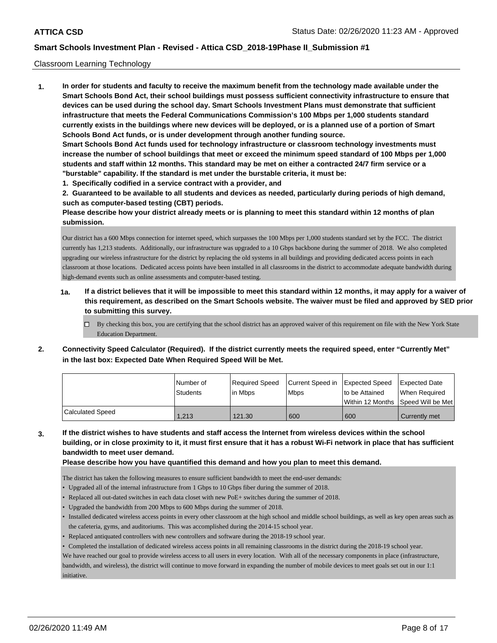#### Classroom Learning Technology

**1. In order for students and faculty to receive the maximum benefit from the technology made available under the Smart Schools Bond Act, their school buildings must possess sufficient connectivity infrastructure to ensure that devices can be used during the school day. Smart Schools Investment Plans must demonstrate that sufficient infrastructure that meets the Federal Communications Commission's 100 Mbps per 1,000 students standard currently exists in the buildings where new devices will be deployed, or is a planned use of a portion of Smart Schools Bond Act funds, or is under development through another funding source. Smart Schools Bond Act funds used for technology infrastructure or classroom technology investments must increase the number of school buildings that meet or exceed the minimum speed standard of 100 Mbps per 1,000 students and staff within 12 months. This standard may be met on either a contracted 24/7 firm service or a "burstable" capability. If the standard is met under the burstable criteria, it must be:**

**1. Specifically codified in a service contract with a provider, and**

**2. Guaranteed to be available to all students and devices as needed, particularly during periods of high demand, such as computer-based testing (CBT) periods.**

**Please describe how your district already meets or is planning to meet this standard within 12 months of plan submission.**

Our district has a 600 Mbps connection for internet speed, which surpasses the 100 Mbps per 1,000 students standard set by the FCC. The district currently has 1,213 students. Additionally, our infrastructure was upgraded to a 10 Gbps backbone during the summer of 2018. We also completed upgrading our wireless infrastructure for the district by replacing the old systems in all buildings and providing dedicated access points in each classroom at those locations. Dedicated access points have been installed in all classrooms in the district to accommodate adequate bandwidth during high-demand events such as online assessments and computer-based testing.

- **1a. If a district believes that it will be impossible to meet this standard within 12 months, it may apply for a waiver of this requirement, as described on the Smart Schools website. The waiver must be filed and approved by SED prior to submitting this survey.**
	- By checking this box, you are certifying that the school district has an approved waiver of this requirement on file with the New York State Education Department.
- **2. Connectivity Speed Calculator (Required). If the district currently meets the required speed, enter "Currently Met" in the last box: Expected Date When Required Speed Will be Met.**

|                  | l Number of<br><b>Students</b> | Required Speed<br>in Mbps | Current Speed in Expected Speed<br><b>Mbps</b> | to be Attained                     | Expected Date<br>When Required |
|------------------|--------------------------------|---------------------------|------------------------------------------------|------------------------------------|--------------------------------|
|                  |                                |                           |                                                | Within 12 Months Speed Will be Met |                                |
| Calculated Speed | 1.213                          | 121.30                    | 600                                            | 600                                | Currently met                  |

**3. If the district wishes to have students and staff access the Internet from wireless devices within the school building, or in close proximity to it, it must first ensure that it has a robust Wi-Fi network in place that has sufficient bandwidth to meet user demand.**

**Please describe how you have quantified this demand and how you plan to meet this demand.**

The district has taken the following measures to ensure sufficient bandwidth to meet the end-user demands:

- Upgraded all of the internal infrastructure from 1 Gbps to 10 Gbps fiber during the summer of 2018.
- Replaced all out-dated switches in each data closet with new PoE+ switches during the summer of 2018.
- Upgraded the bandwidth from 200 Mbps to 600 Mbps during the summer of 2018.
- Installed dedicated wireless access points in every other classroom at the high school and middle school buildings, as well as key open areas such as the cafeteria, gyms, and auditoriums. This was accomplished during the 2014-15 school year.
- Replaced antiquated controllers with new controllers and software during the 2018-19 school year.
- Completed the installation of dedicated wireless access points in all remaining classrooms in the district during the 2018-19 school year.

We have reached our goal to provide wireless access to all users in every location. With all of the necessary components in place (infrastructure, bandwidth, and wireless), the district will continue to move forward in expanding the number of mobile devices to meet goals set out in our 1:1 initiative.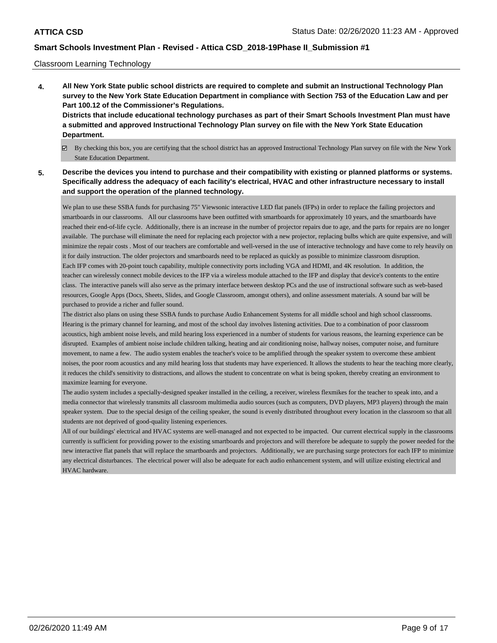#### Classroom Learning Technology

- **4. All New York State public school districts are required to complete and submit an Instructional Technology Plan survey to the New York State Education Department in compliance with Section 753 of the Education Law and per Part 100.12 of the Commissioner's Regulations. Districts that include educational technology purchases as part of their Smart Schools Investment Plan must have a submitted and approved Instructional Technology Plan survey on file with the New York State Education Department.**
	- By checking this box, you are certifying that the school district has an approved Instructional Technology Plan survey on file with the New York State Education Department.
- **5. Describe the devices you intend to purchase and their compatibility with existing or planned platforms or systems. Specifically address the adequacy of each facility's electrical, HVAC and other infrastructure necessary to install and support the operation of the planned technology.**

We plan to use these SSBA funds for purchasing 75" Viewsonic interactive LED flat panels (IFPs) in order to replace the failing projectors and smartboards in our classrooms. All our classrooms have been outfitted with smartboards for approximately 10 years, and the smartboards have reached their end-of-life cycle. Additionally, there is an increase in the number of projector repairs due to age, and the parts for repairs are no longer available. The purchase will eliminate the need for replacing each projector with a new projector, replacing bulbs which are quite expensive, and will minimize the repair costs . Most of our teachers are comfortable and well-versed in the use of interactive technology and have come to rely heavily on it for daily instruction. The older projectors and smartboards need to be replaced as quickly as possible to minimize classroom disruption. Each IFP comes with 20-point touch capability, multiple connectivity ports including VGA and HDMI, and 4K resolution. In addition, the teacher can wirelessly connect mobile devices to the IFP via a wireless module attached to the IFP and display that device's contents to the entire class. The interactive panels will also serve as the primary interface between desktop PCs and the use of instructional software such as web-based resources, Google Apps (Docs, Sheets, Slides, and Google Classroom, amongst others), and online assessment materials. A sound bar will be purchased to provide a richer and fuller sound.

The district also plans on using these SSBA funds to purchase Audio Enhancement Systems for all middle school and high school classrooms. Hearing is the primary channel for learning, and most of the school day involves listening activities. Due to a combination of poor classroom acoustics, high ambient noise levels, and mild hearing loss experienced in a number of students for various reasons, the learning experience can be disrupted. Examples of ambient noise include children talking, heating and air conditioning noise, hallway noises, computer noise, and furniture movement, to name a few. The audio system enables the teacher's voice to be amplified through the speaker system to overcome these ambient noises, the poor room acoustics and any mild hearing loss that students may have experienced. It allows the students to hear the teaching more clearly, it reduces the child's sensitivity to distractions, and allows the student to concentrate on what is being spoken, thereby creating an environment to maximize learning for everyone.

The audio system includes a specially-designed speaker installed in the ceiling, a receiver, wireless flexmikes for the teacher to speak into, and a media connector that wirelessly transmits all classroom multimedia audio sources (such as computers, DVD players, MP3 players) through the main speaker system. Due to the special design of the ceiling speaker, the sound is evenly distributed throughout every location in the classroom so that all students are not deprived of good-quality listening experiences.

All of our buildings' electrical and HVAC systems are well-managed and not expected to be impacted. Our current electrical supply in the classrooms currently is sufficient for providing power to the existing smartboards and projectors and will therefore be adequate to supply the power needed for the new interactive flat panels that will replace the smartboards and projectors. Additionally, we are purchasing surge protectors for each IFP to minimize any electrical disturbances. The electrical power will also be adequate for each audio enhancement system, and will utilize existing electrical and HVAC hardware.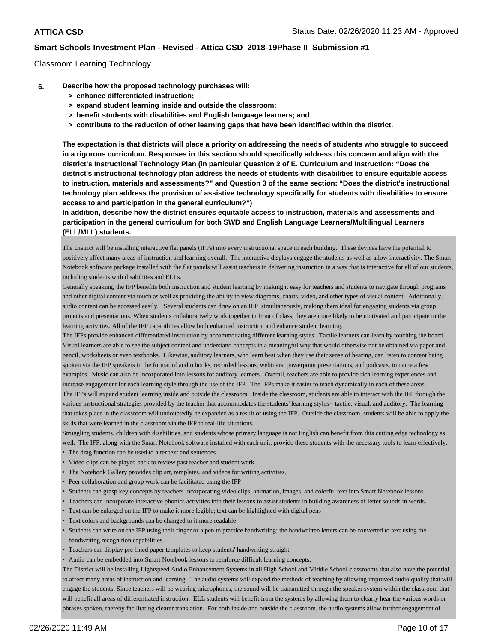#### Classroom Learning Technology

- **6. Describe how the proposed technology purchases will:**
	- **> enhance differentiated instruction;**
	- **> expand student learning inside and outside the classroom;**
	- **> benefit students with disabilities and English language learners; and**
	- **> contribute to the reduction of other learning gaps that have been identified within the district.**

**The expectation is that districts will place a priority on addressing the needs of students who struggle to succeed in a rigorous curriculum. Responses in this section should specifically address this concern and align with the district's Instructional Technology Plan (in particular Question 2 of E. Curriculum and Instruction: "Does the district's instructional technology plan address the needs of students with disabilities to ensure equitable access to instruction, materials and assessments?" and Question 3 of the same section: "Does the district's instructional technology plan address the provision of assistive technology specifically for students with disabilities to ensure access to and participation in the general curriculum?")**

**In addition, describe how the district ensures equitable access to instruction, materials and assessments and participation in the general curriculum for both SWD and English Language Learners/Multilingual Learners (ELL/MLL) students.**

The District will be installing interactive flat panels (IFPs) into every instructional space in each building. These devices have the potential to positively affect many areas of instruction and learning overall. The interactive displays engage the students as well as allow interactivity. The Smart Notebook software package installed with the flat panels will assist teachers in delivering instruction in a way that is interactive for all of our students, including students with disabilities and ELLs.

Generally speaking, the IFP benefits both instruction and student learning by making it easy for teachers and students to navigate through programs and other digital content via touch as well as providing the ability to view diagrams, charts, video, and other types of visual content. Additionally, audio content can be accessed easily. Several students can draw on an IFP simultaneously, making them ideal for engaging students via group projects and presentations. When students collaboratively work together in front of class, they are more likely to be motivated and participate in the learning activities. All of the IFP capabilities allow both enhanced instruction and enhance student learning.

The IFPs provide enhanced differentiated instruction by accommodating different learning styles. Tactile learners can learn by touching the board. Visual learners are able to see the subject content and understand concepts in a meaningful way that would otherwise not be obtained via paper and pencil, worksheets or even textbooks. Likewise, auditory learners, who learn best when they use their sense of hearing, can listen to content being spoken via the IFP speakers in the format of audio books, recorded lessons, webinars, powerpoint presentations, and podcasts, to name a few examples. Music can also be incorporated into lessons for auditory learners. Overall, teachers are able to provide rich learning experiences and increase engagement for each learning style through the use of the IFP. The IFPs make it easier to teach dynamically in each of these areas. The IFPs will expand student learning inside and outside the classroom. Inside the classroom, students are able to interact with the IFP through the

various instructional strategies provided by the teacher that accommodates the students' learning styles-- tactile, visual, and auditory. The learning that takes place in the classroom will undoubtedly be expanded as a result of using the IFP. Outside the classroom, students will be able to apply the skills that were learned in the classroom via the IFP to real-life situations.

Struggling students, children with disabilities, and students whose primary language is not English can benefit from this cutting edge technology as well. The IFP, along with the Smart Notebook software installed with each unit, provide these students with the necessary tools to learn effectively:

- The drag function can be used to alter text and sentences
- Video clips can be played back to review past teacher and student work
- The Notebook Gallery provides clip art, templates, and videos for writing activities.
- Peer collaboration and group work can be facilitated using the IFP
- Students can grasp key concepts by teachers incorporating video clips, animation, images, and colorful text into Smart Notebook lessons
- Teachers can incorporate interactive phonics activities into their lessons to assist students in building awareness of letter sounds in words.
- Text can be enlarged on the IFP to make it more legible; text can be highlighted with digital pens
- Text colors and backgrounds can be changed to it more readable
- Students can write on the IFP using their finger or a pen to practice handwriting; the handwritten letters can be converted to text using the handwriting recognition capabilities.
- Teachers can display pre-lined paper templates to keep students' handwriting straight.
- Audio can be embedded into Smart Notebook lessons to reinforce difficult learning concepts.

The District will be installing Lightspeed Audio Enhancement Systems in all High School and Middle School classrooms that also have the potential to affect many areas of instruction and learning. The audio systems will expand the methods of teaching by allowing improved audio quality that will engage the students. Since teachers will be wearing microphones, the sound will be transmitted through the speaker system within the classroom that will benefit all areas of differentiated instruction. ELL students will benefit from the systems by allowing them to clearly hear the various words or phrases spoken, thereby facilitating clearer translation. For both inside and outside the classroom, the audio systems allow further engagement of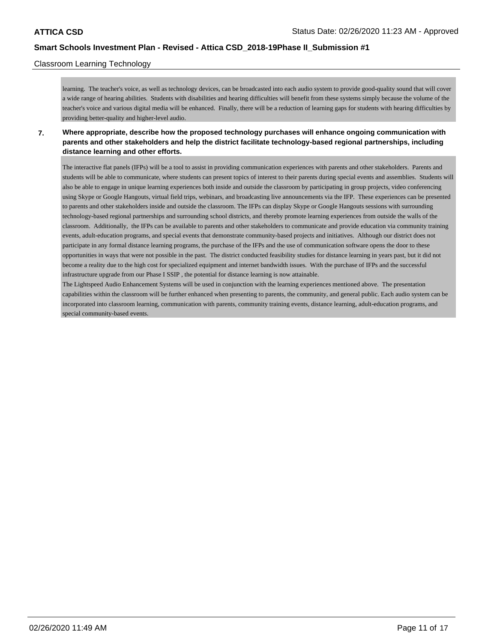### Classroom Learning Technology

learning. The teacher's voice, as well as technology devices, can be broadcasted into each audio system to provide good-quality sound that will cover a wide range of hearing abilities. Students with disabilities and hearing difficulties will benefit from these systems simply because the volume of the teacher's voice and various digital media will be enhanced. Finally, there will be a reduction of learning gaps for students with hearing difficulties by providing better-quality and higher-level audio.

**7. Where appropriate, describe how the proposed technology purchases will enhance ongoing communication with parents and other stakeholders and help the district facilitate technology-based regional partnerships, including distance learning and other efforts.**

The interactive flat panels (IFPs) will be a tool to assist in providing communication experiences with parents and other stakeholders. Parents and students will be able to communicate, where students can present topics of interest to their parents during special events and assemblies. Students will also be able to engage in unique learning experiences both inside and outside the classroom by participating in group projects, video conferencing using Skype or Google Hangouts, virtual field trips, webinars, and broadcasting live announcements via the IFP. These experiences can be presented to parents and other stakeholders inside and outside the classroom. The IFPs can display Skype or Google Hangouts sessions with surrounding technology-based regional partnerships and surrounding school districts, and thereby promote learning experiences from outside the walls of the classroom. Additionally, the IFPs can be available to parents and other stakeholders to communicate and provide education via community training events, adult-education programs, and special events that demonstrate community-based projects and initiatives. Although our district does not participate in any formal distance learning programs, the purchase of the IFPs and the use of communication software opens the door to these opportunities in ways that were not possible in the past. The district conducted feasibility studies for distance learning in years past, but it did not become a reality due to the high cost for specialized equipment and internet bandwidth issues. With the purchase of IFPs and the successful infrastructure upgrade from our Phase I SSIP , the potential for distance learning is now attainable.

The Lightspeed Audio Enhancement Systems will be used in conjunction with the learning experiences mentioned above. The presentation capabilities within the classroom will be further enhanced when presenting to parents, the community, and general public. Each audio system can be incorporated into classroom learning, communication with parents, community training events, distance learning, adult-education programs, and special community-based events.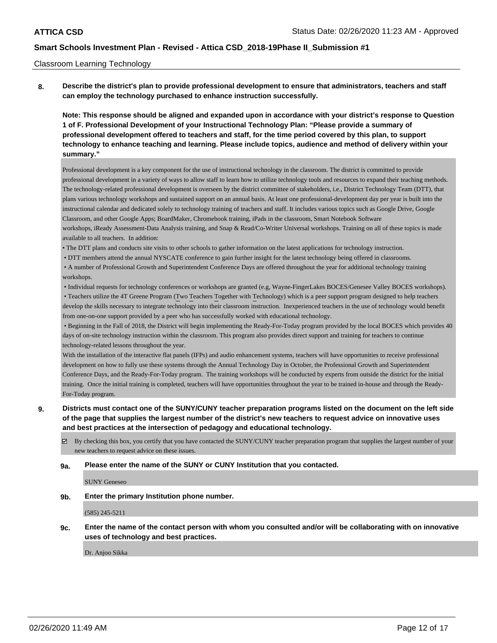#### Classroom Learning Technology

**8. Describe the district's plan to provide professional development to ensure that administrators, teachers and staff can employ the technology purchased to enhance instruction successfully.**

**Note: This response should be aligned and expanded upon in accordance with your district's response to Question 1 of F. Professional Development of your Instructional Technology Plan: "Please provide a summary of professional development offered to teachers and staff, for the time period covered by this plan, to support technology to enhance teaching and learning. Please include topics, audience and method of delivery within your summary."**

Professional development is a key component for the use of instructional technology in the classroom. The district is committed to provide professional development in a variety of ways to allow staff to learn how to utilize technology tools and resources to expand their teaching methods. The technology-related professional development is overseen by the district committee of stakeholders, i.e., District Technology Team (DTT), that plans various technology workshops and sustained support on an annual basis. At least one professional-development day per year is built into the instructional calendar and dedicated solely to technology training of teachers and staff. It includes various topics such as Google Drive, Google Classroom, and other Google Apps; BoardMaker, Chromebook training, iPads in the classroom, Smart Notebook Software workshops, iReady Assessment-Data Analysis training, and Snap & Read/Co-Writer Universal workshops. Training on all of these topics is made available to all teachers. In addition:

• The DTT plans and conducts site visits to other schools to gather information on the latest applications for technology instruction.

• DTT members attend the annual NYSCATE conference to gain further insight for the latest technology being offered in classrooms.

 • A number of Professional Growth and Superintendent Conference Days are offered throughout the year for additional technology training workshops.

 • Individual requests for technology conferences or workshops are granted (e.g, Wayne-FingerLakes BOCES/Genesee Valley BOCES workshops). • Teachers utilize the 4T Greene Program (Two Teachers Together with Technology) which is a peer support program designed to help teachers develop the skills necessary to integrate technology into their classroom instruction. Inexperienced teachers in the use of technology would benefit from one-on-one support provided by a peer who has successfully worked with educational technology.

 • Beginning in the Fall of 2018, the District will begin implementing the Ready-For-Today program provided by the local BOCES which provides 40 days of on-site technology instruction within the classroom. This program also provides direct support and training for teachers to continue technology-related lessons throughout the year.

With the installation of the interactive flat panels (IFPs) and audio enhancement systems, teachers will have opportunities to receive professional development on how to fully use these systems through the Annual Technology Day in October, the Professional Growth and Superintendent Conference Days, and the Ready-For-Today program. The training workshops will be conducted by experts from outside the district for the initial training. Once the initial training is completed, teachers will have opportunities throughout the year to be trained in-house and through the Ready-For-Today program.

### **9. Districts must contact one of the SUNY/CUNY teacher preparation programs listed on the document on the left side of the page that supplies the largest number of the district's new teachers to request advice on innovative uses and best practices at the intersection of pedagogy and educational technology.**

By checking this box, you certify that you have contacted the SUNY/CUNY teacher preparation program that supplies the largest number of your new teachers to request advice on these issues.

**9a. Please enter the name of the SUNY or CUNY Institution that you contacted.**

SUNY Geneseo

**9b. Enter the primary Institution phone number.**

(585) 245-5211

**9c. Enter the name of the contact person with whom you consulted and/or will be collaborating with on innovative uses of technology and best practices.**

Dr. Anjoo Sikka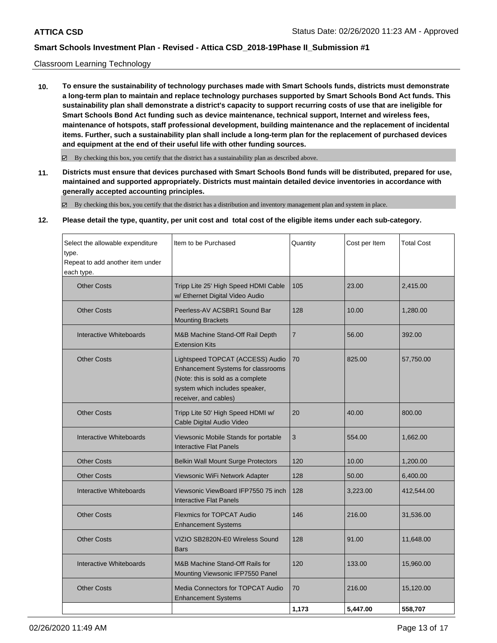### Classroom Learning Technology

**10. To ensure the sustainability of technology purchases made with Smart Schools funds, districts must demonstrate a long-term plan to maintain and replace technology purchases supported by Smart Schools Bond Act funds. This sustainability plan shall demonstrate a district's capacity to support recurring costs of use that are ineligible for Smart Schools Bond Act funding such as device maintenance, technical support, Internet and wireless fees, maintenance of hotspots, staff professional development, building maintenance and the replacement of incidental items. Further, such a sustainability plan shall include a long-term plan for the replacement of purchased devices and equipment at the end of their useful life with other funding sources.**

 $\boxtimes$  By checking this box, you certify that the district has a sustainability plan as described above.

**11. Districts must ensure that devices purchased with Smart Schools Bond funds will be distributed, prepared for use, maintained and supported appropriately. Districts must maintain detailed device inventories in accordance with generally accepted accounting principles.**

By checking this box, you certify that the district has a distribution and inventory management plan and system in place.

#### **12. Please detail the type, quantity, per unit cost and total cost of the eligible items under each sub-category.**

| Select the allowable expenditure<br>type.<br>Repeat to add another item under<br>each type. | Item to be Purchased                                                                                                                                                   | Quantity       | Cost per Item | <b>Total Cost</b> |
|---------------------------------------------------------------------------------------------|------------------------------------------------------------------------------------------------------------------------------------------------------------------------|----------------|---------------|-------------------|
| <b>Other Costs</b>                                                                          | Tripp Lite 25' High Speed HDMI Cable<br>w/ Ethernet Digital Video Audio                                                                                                | 105            | 23.00         | 2,415.00          |
| <b>Other Costs</b>                                                                          | Peerless-AV ACSBR1 Sound Bar<br><b>Mounting Brackets</b>                                                                                                               | 128            | 10.00         | 1,280.00          |
| Interactive Whiteboards                                                                     | M&B Machine Stand-Off Rail Depth<br><b>Extension Kits</b>                                                                                                              | $\overline{7}$ | 56.00         | 392.00            |
| <b>Other Costs</b>                                                                          | Lightspeed TOPCAT (ACCESS) Audio<br>Enhancement Systems for classrooms<br>(Note: this is sold as a complete<br>system which includes speaker,<br>receiver, and cables) | 70             | 825.00        | 57,750.00         |
| <b>Other Costs</b>                                                                          | Tripp Lite 50' High Speed HDMI w/<br>Cable Digital Audio Video                                                                                                         | 20             | 40.00         | 800.00            |
| Interactive Whiteboards                                                                     | Viewsonic Mobile Stands for portable<br><b>Interactive Flat Panels</b>                                                                                                 | 3              | 554.00        | 1,662.00          |
| <b>Other Costs</b>                                                                          | <b>Belkin Wall Mount Surge Protectors</b>                                                                                                                              | 120            | 10.00         | 1,200.00          |
| <b>Other Costs</b>                                                                          | Viewsonic WiFi Network Adapter                                                                                                                                         | 128            | 50.00         | 6,400.00          |
| Interactive Whiteboards                                                                     | Viewsonic ViewBoard IFP7550 75 inch<br><b>Interactive Flat Panels</b>                                                                                                  | 128            | 3,223.00      | 412,544.00        |
| <b>Other Costs</b>                                                                          | <b>Flexmics for TOPCAT Audio</b><br><b>Enhancement Systems</b>                                                                                                         | 146            | 216.00        | 31,536.00         |
| <b>Other Costs</b>                                                                          | VIZIO SB2820N-E0 Wireless Sound<br><b>Bars</b>                                                                                                                         | 128            | 91.00         | 11,648.00         |
| <b>Interactive Whiteboards</b>                                                              | M&B Machine Stand-Off Rails for<br>Mounting Viewsonic IFP7550 Panel                                                                                                    | 120            | 133.00        | 15,960.00         |
| <b>Other Costs</b>                                                                          | Media Connectors for TOPCAT Audio<br><b>Enhancement Systems</b>                                                                                                        | 70             | 216.00        | 15,120.00         |
|                                                                                             |                                                                                                                                                                        | 1.173          | 5.447.00      | 558.707           |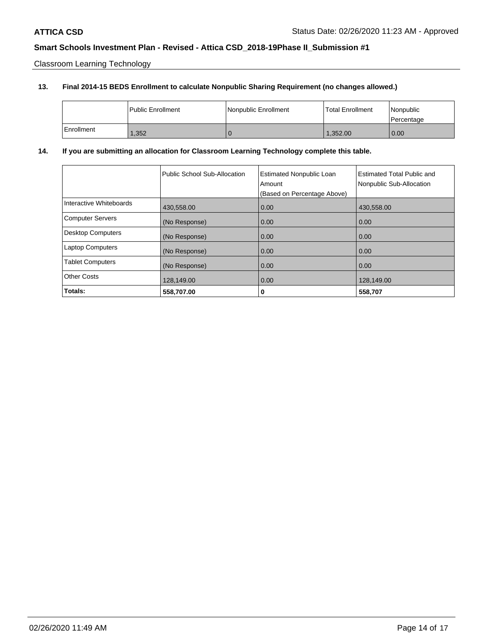Classroom Learning Technology

# **13. Final 2014-15 BEDS Enrollment to calculate Nonpublic Sharing Requirement (no changes allowed.)**

|            | <b>Public Enrollment</b> | Nonpublic Enrollment | <b>Total Enrollment</b> | l Nonpublic<br>l Percentage |
|------------|--------------------------|----------------------|-------------------------|-----------------------------|
| Enrollment | 1,352                    |                      | 1,352.00                | 0.00                        |

# **14. If you are submitting an allocation for Classroom Learning Technology complete this table.**

|                          | Public School Sub-Allocation | <b>Estimated Nonpublic Loan</b><br>Amount<br>(Based on Percentage Above) | Estimated Total Public and<br>Nonpublic Sub-Allocation |
|--------------------------|------------------------------|--------------------------------------------------------------------------|--------------------------------------------------------|
| Interactive Whiteboards  | 430,558.00                   | 0.00                                                                     | 430,558.00                                             |
| Computer Servers         | (No Response)                | 0.00                                                                     | 0.00                                                   |
| <b>Desktop Computers</b> | (No Response)                | 0.00                                                                     | 0.00                                                   |
| <b>Laptop Computers</b>  | (No Response)                | 0.00                                                                     | 0.00                                                   |
| <b>Tablet Computers</b>  | (No Response)                | 0.00                                                                     | 0.00                                                   |
| Other Costs              | 128,149.00                   | 0.00                                                                     | 128,149.00                                             |
| Totals:                  | 558,707.00                   | 0                                                                        | 558,707                                                |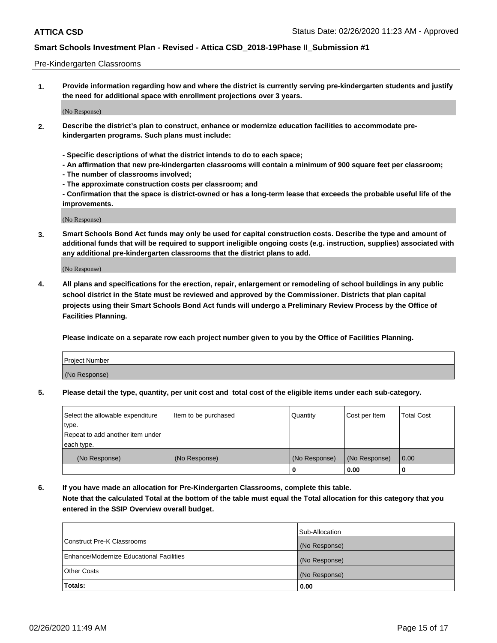#### Pre-Kindergarten Classrooms

**1. Provide information regarding how and where the district is currently serving pre-kindergarten students and justify the need for additional space with enrollment projections over 3 years.**

(No Response)

- **2. Describe the district's plan to construct, enhance or modernize education facilities to accommodate prekindergarten programs. Such plans must include:**
	- **Specific descriptions of what the district intends to do to each space;**
	- **An affirmation that new pre-kindergarten classrooms will contain a minimum of 900 square feet per classroom;**
	- **The number of classrooms involved;**
	- **The approximate construction costs per classroom; and**
	- **Confirmation that the space is district-owned or has a long-term lease that exceeds the probable useful life of the improvements.**

(No Response)

**3. Smart Schools Bond Act funds may only be used for capital construction costs. Describe the type and amount of additional funds that will be required to support ineligible ongoing costs (e.g. instruction, supplies) associated with any additional pre-kindergarten classrooms that the district plans to add.**

(No Response)

**4. All plans and specifications for the erection, repair, enlargement or remodeling of school buildings in any public school district in the State must be reviewed and approved by the Commissioner. Districts that plan capital projects using their Smart Schools Bond Act funds will undergo a Preliminary Review Process by the Office of Facilities Planning.**

**Please indicate on a separate row each project number given to you by the Office of Facilities Planning.**

| Project Number |  |
|----------------|--|
| (No Response)  |  |
|                |  |

**5. Please detail the type, quantity, per unit cost and total cost of the eligible items under each sub-category.**

| Select the allowable expenditure | Item to be purchased | Quantity      | Cost per Item | <b>Total Cost</b> |
|----------------------------------|----------------------|---------------|---------------|-------------------|
| type.                            |                      |               |               |                   |
| Repeat to add another item under |                      |               |               |                   |
| each type.                       |                      |               |               |                   |
| (No Response)                    | (No Response)        | (No Response) | (No Response) | 0.00              |
|                                  |                      | υ             | 0.00          |                   |

**6. If you have made an allocation for Pre-Kindergarten Classrooms, complete this table. Note that the calculated Total at the bottom of the table must equal the Total allocation for this category that you entered in the SSIP Overview overall budget.**

|                                          | Sub-Allocation |
|------------------------------------------|----------------|
| Construct Pre-K Classrooms               | (No Response)  |
| Enhance/Modernize Educational Facilities | (No Response)  |
| <b>Other Costs</b>                       | (No Response)  |
| Totals:                                  | 0.00           |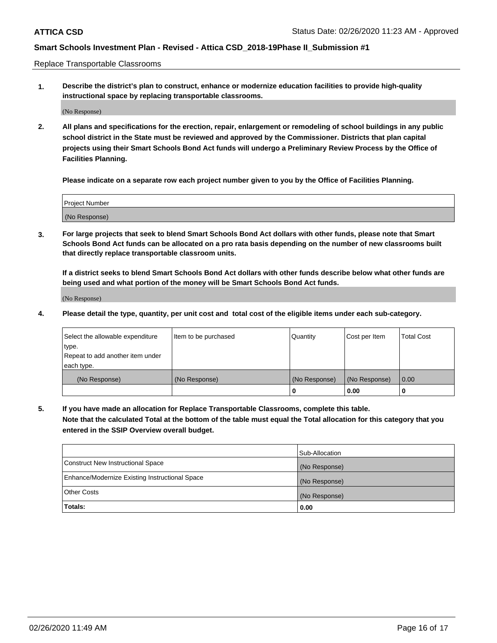Replace Transportable Classrooms

**1. Describe the district's plan to construct, enhance or modernize education facilities to provide high-quality instructional space by replacing transportable classrooms.**

(No Response)

**2. All plans and specifications for the erection, repair, enlargement or remodeling of school buildings in any public school district in the State must be reviewed and approved by the Commissioner. Districts that plan capital projects using their Smart Schools Bond Act funds will undergo a Preliminary Review Process by the Office of Facilities Planning.**

**Please indicate on a separate row each project number given to you by the Office of Facilities Planning.**

| Project Number |  |
|----------------|--|
|                |  |
|                |  |
|                |  |
| (No Response)  |  |
|                |  |
|                |  |

**3. For large projects that seek to blend Smart Schools Bond Act dollars with other funds, please note that Smart Schools Bond Act funds can be allocated on a pro rata basis depending on the number of new classrooms built that directly replace transportable classroom units.**

**If a district seeks to blend Smart Schools Bond Act dollars with other funds describe below what other funds are being used and what portion of the money will be Smart Schools Bond Act funds.**

(No Response)

**4. Please detail the type, quantity, per unit cost and total cost of the eligible items under each sub-category.**

| Select the allowable expenditure | Item to be purchased | Quantity      | Cost per Item | Total Cost |
|----------------------------------|----------------------|---------------|---------------|------------|
| ∣type.                           |                      |               |               |            |
| Repeat to add another item under |                      |               |               |            |
| each type.                       |                      |               |               |            |
| (No Response)                    | (No Response)        | (No Response) | (No Response) | 0.00       |
|                                  |                      | u             | 0.00          |            |

**5. If you have made an allocation for Replace Transportable Classrooms, complete this table. Note that the calculated Total at the bottom of the table must equal the Total allocation for this category that you entered in the SSIP Overview overall budget.**

|                                                | Sub-Allocation |
|------------------------------------------------|----------------|
| Construct New Instructional Space              | (No Response)  |
| Enhance/Modernize Existing Instructional Space | (No Response)  |
| Other Costs                                    | (No Response)  |
| Totals:                                        | 0.00           |